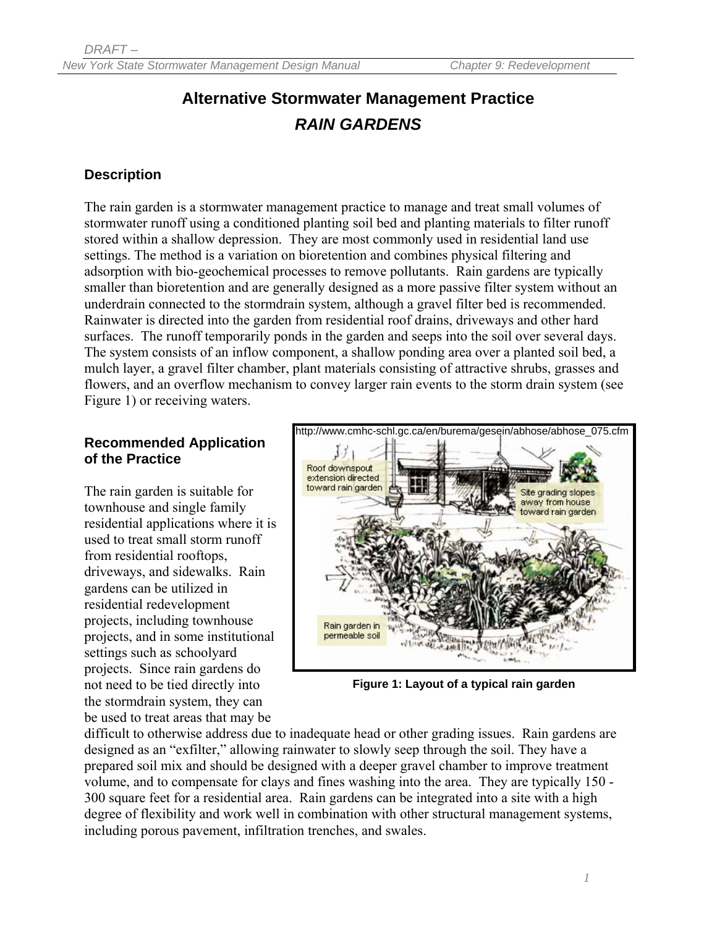# **Alternative Stormwater Management Practice**  *RAIN GARDENS*

#### **Description**

The rain garden is a stormwater management practice to manage and treat small volumes of stormwater runoff using a conditioned planting soil bed and planting materials to filter runoff stored within a shallow depression. They are most commonly used in residential land use settings. The method is a variation on bioretention and combines physical filtering and adsorption with bio-geochemical processes to remove pollutants. Rain gardens are typically smaller than bioretention and are generally designed as a more passive filter system without an underdrain connected to the stormdrain system, although a gravel filter bed is recommended. Rainwater is directed into the garden from residential roof drains, driveways and other hard surfaces. The runoff temporarily ponds in the garden and seeps into the soil over several days. The system consists of an inflow component, a shallow ponding area over a planted soil bed, a mulch layer, a gravel filter chamber, plant materials consisting of attractive shrubs, grasses and flowers, and an overflow mechanism to convey larger rain events to the storm drain system (see Figure 1) or receiving waters.

#### **Recommended Application of the Practice**

The rain garden is suitable for townhouse and single family residential applications where it is used to treat small storm runoff from residential rooftops, driveways, and sidewalks. Rain gardens can be utilized in residential redevelopment projects, including townhouse projects, and in some institutional settings such as schoolyard projects. Since rain gardens do not need to be tied directly into the stormdrain system, they can be used to treat areas that may be



**Figure 1: Layout of a typical rain garden** 

difficult to otherwise address due to inadequate head or other grading issues. Rain gardens are designed as an "exfilter," allowing rainwater to slowly seep through the soil. They have a prepared soil mix and should be designed with a deeper gravel chamber to improve treatment volume, and to compensate for clays and fines washing into the area. They are typically 150 - 300 square feet for a residential area. Rain gardens can be integrated into a site with a high degree of flexibility and work well in combination with other structural management systems, including porous pavement, infiltration trenches, and swales.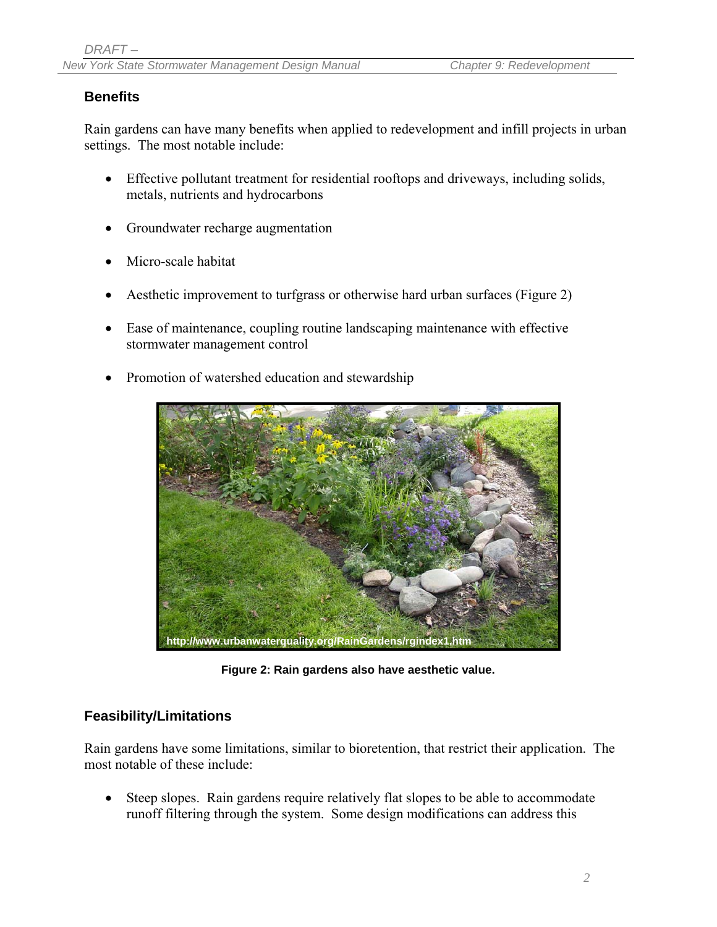### **Benefits**

Rain gardens can have many benefits when applied to redevelopment and infill projects in urban settings. The most notable include:

- Effective pollutant treatment for residential rooftops and driveways, including solids, metals, nutrients and hydrocarbons
- Groundwater recharge augmentation
- Micro-scale habitat
- Aesthetic improvement to turfgrass or otherwise hard urban surfaces (Figure 2)
- Ease of maintenance, coupling routine landscaping maintenance with effective stormwater management control
- Promotion of watershed education and stewardship



**Figure 2: Rain gardens also have aesthetic value.** 

#### **Feasibility/Limitations**

Rain gardens have some limitations, similar to bioretention, that restrict their application. The most notable of these include:

• Steep slopes. Rain gardens require relatively flat slopes to be able to accommodate runoff filtering through the system. Some design modifications can address this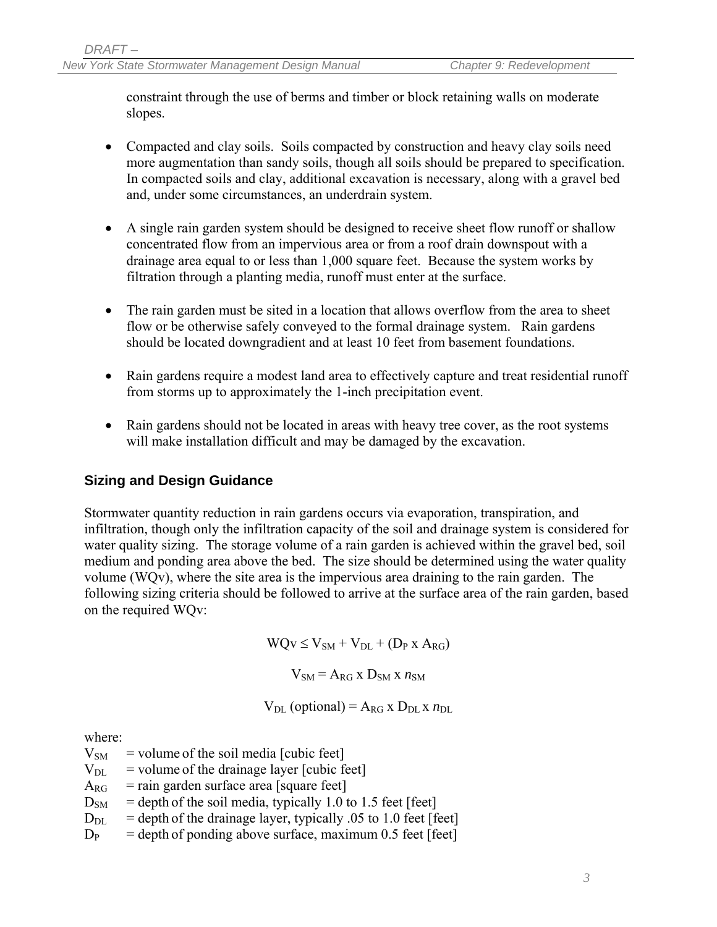constraint through the use of berms and timber or block retaining walls on moderate slopes.

- Compacted and clay soils. Soils compacted by construction and heavy clay soils need more augmentation than sandy soils, though all soils should be prepared to specification. In compacted soils and clay, additional excavation is necessary, along with a gravel bed and, under some circumstances, an underdrain system.
- A single rain garden system should be designed to receive sheet flow runoff or shallow concentrated flow from an impervious area or from a roof drain downspout with a drainage area equal to or less than 1,000 square feet. Because the system works by filtration through a planting media, runoff must enter at the surface.
- The rain garden must be sited in a location that allows overflow from the area to sheet flow or be otherwise safely conveyed to the formal drainage system. Rain gardens should be located downgradient and at least 10 feet from basement foundations.
- Rain gardens require a modest land area to effectively capture and treat residential runoff from storms up to approximately the 1-inch precipitation event.
- Rain gardens should not be located in areas with heavy tree cover, as the root systems will make installation difficult and may be damaged by the excavation.

## **Sizing and Design Guidance**

Stormwater quantity reduction in rain gardens occurs via evaporation, transpiration, and infiltration, though only the infiltration capacity of the soil and drainage system is considered for water quality sizing. The storage volume of a rain garden is achieved within the gravel bed, soil medium and ponding area above the bed. The size should be determined using the water quality volume (WQv), where the site area is the impervious area draining to the rain garden. The following sizing criteria should be followed to arrive at the surface area of the rain garden, based on the required WQv:

 $WQv \le V_{SM} + V_{DL} + (D_P X A_{RG})$ 

 $V_{SM} = A_{RG}$  x  $D_{SM}$  x  $n_{SM}$ 

$$
V_{DL}
$$
 (optional) =  $A_{RG} \times D_{DL} \times n_{DL}$ 

where:

 $V<sub>SM</sub>$  = volume of the soil media [cubic feet]

- $V_{\text{DL}}$  = volume of the drainage layer [cubic feet]
- $A_{RG}$  = rain garden surface area [square feet]
- $D<sub>SM</sub>$  = depth of the soil media, typically 1.0 to 1.5 feet [feet]
- $D_{DL}$  = depth of the drainage layer, typically .05 to 1.0 feet [feet]
- $D_P$  = depth of ponding above surface, maximum 0.5 feet [feet]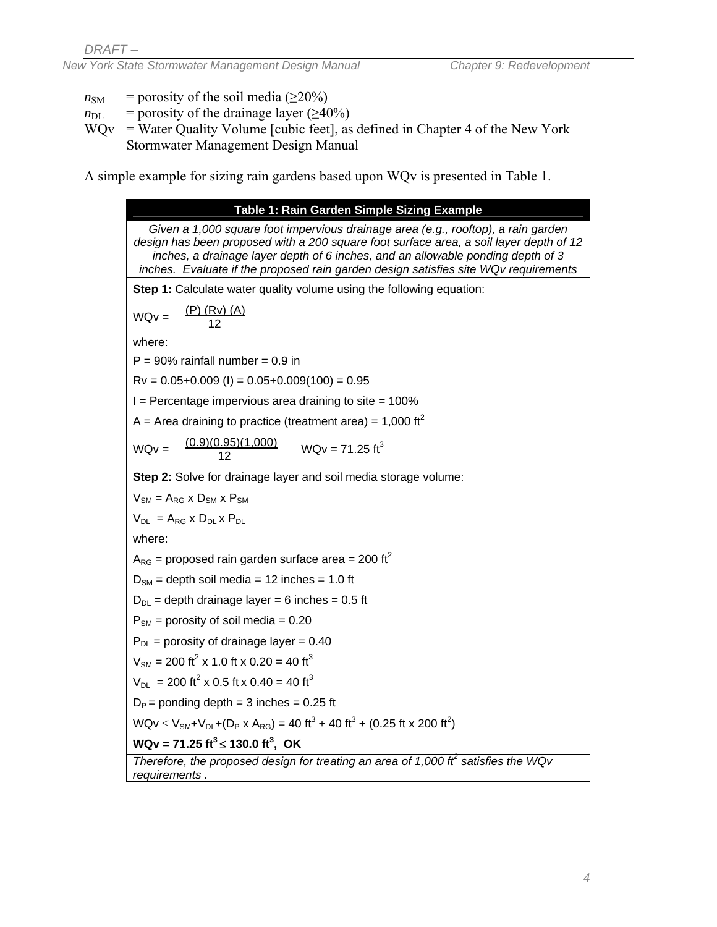- $n<sub>SM</sub>$  = porosity of the soil media ( $\geq$ 20%)
- $n_{\text{DL}}$  = porosity of the drainage layer ( $\geq 40\%$ )
- $WQv = Water Quality Volume [cubic feet]$ , as defined in Chapter 4 of the New York Stormwater Management Design Manual

A simple example for sizing rain gardens based upon WQv is presented in Table 1.

**Table 1: Rain Garden Simple Sizing Example**  *Given a 1,000 square foot impervious drainage area (e.g., rooftop), a rain garden design has been proposed with a 200 square foot surface area, a soil layer depth of 12 inches, a drainage layer depth of 6 inches, and an allowable ponding depth of 3 inches. Evaluate if the proposed rain garden design satisfies site WQv requirements*  **Step 1:** Calculate water quality volume using the following equation:  $WQv = \frac{(P) (Rv) (A)}{12}$  12 where:  $P = 90\%$  rainfall number = 0.9 in  $Rv = 0.05+0.009$  (I) =  $0.05+0.009(100) = 0.95$  $I =$  Percentage impervious area draining to site = 100% A = Area draining to practice (treatment area) = 1,000 ft<sup>2</sup>  $WQv = \frac{(0.9)(0.95)(1,000)}{12}$  $WOv = 71.25 \text{ ft}^3$ **Step 2:** Solve for drainage layer and soil media storage volume:  $V_{\text{SM}} = A_{\text{RG}} \times D_{\text{SM}} \times P_{\text{SM}}$  $V_{\text{DI}} = A_{\text{RG}} \times D_{\text{DI}} \times P_{\text{DI}}$ where:  $A_{RG}$  = proposed rain garden surface area = 200 ft<sup>2</sup>  $D<sub>SM</sub>$  = depth soil media = 12 inches = 1.0 ft  $D_{D1}$  = depth drainage layer = 6 inches = 0.5 ft  $P_{SM}$  = porosity of soil media = 0.20  $P_{DI}$  = porosity of drainage layer = 0.40  $V_{\text{SM}}$  = 200 ft<sup>2</sup> x 1.0 ft x 0.20 = 40 ft<sup>3</sup>  $V_{DL}$  = 200 ft<sup>2</sup> x 0.5 ft x 0.40 = 40 ft<sup>3</sup>  $D_P$  = ponding depth = 3 inches = 0.25 ft  $WQv \le V_{SM} + V_{DL} + (D_P \times A_{RG}) = 40 \text{ ft}^3 + 40 \text{ ft}^3 + (0.25 \text{ ft} \times 200 \text{ ft}^2)$ **WQv = 71.25 ft<sup>3</sup> ≤ 130.0 ft<sup>3</sup>, OK** *Therefore, the proposed design for treating an area of 1,000 ft<sup>2</sup> satisfies the WQv requirements .*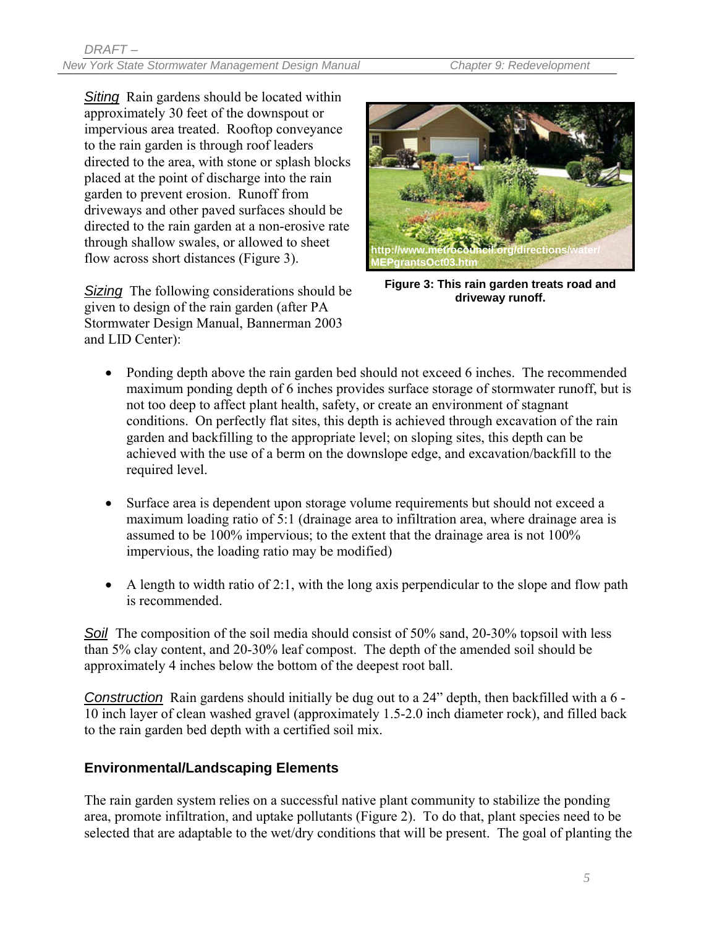*Siting* Rain gardens should be located within approximately 30 feet of the downspout or impervious area treated. Rooftop conveyance to the rain garden is through roof leaders directed to the area, with stone or splash blocks placed at the point of discharge into the rain garden to prevent erosion. Runoff from driveways and other paved surfaces should be directed to the rain garden at a non-erosive rate through shallow swales, or allowed to sheet flow across short distances (Figure 3).

*Sizing* The following considerations should be given to design of the rain garden (after PA Stormwater Design Manual, Bannerman 2003 and LID Center):



**Figure 3: This rain garden treats road and driveway runoff.** 

- Ponding depth above the rain garden bed should not exceed 6 inches. The recommended maximum ponding depth of 6 inches provides surface storage of stormwater runoff, but is not too deep to affect plant health, safety, or create an environment of stagnant conditions. On perfectly flat sites, this depth is achieved through excavation of the rain garden and backfilling to the appropriate level; on sloping sites, this depth can be achieved with the use of a berm on the downslope edge, and excavation/backfill to the required level.
- Surface area is dependent upon storage volume requirements but should not exceed a maximum loading ratio of 5:1 (drainage area to infiltration area, where drainage area is assumed to be 100% impervious; to the extent that the drainage area is not 100% impervious, the loading ratio may be modified)
- A length to width ratio of 2:1, with the long axis perpendicular to the slope and flow path is recommended.

Soil The composition of the soil media should consist of 50% sand, 20-30% topsoil with less than 5% clay content, and 20-30% leaf compost. The depth of the amended soil should be approximately 4 inches below the bottom of the deepest root ball.

*Construction* Rain gardens should initially be dug out to a 24" depth, then backfilled with a 6 - 10 inch layer of clean washed gravel (approximately 1.5-2.0 inch diameter rock), and filled back to the rain garden bed depth with a certified soil mix.

## **Environmental/Landscaping Elements**

The rain garden system relies on a successful native plant community to stabilize the ponding area, promote infiltration, and uptake pollutants (Figure 2). To do that, plant species need to be selected that are adaptable to the wet/dry conditions that will be present. The goal of planting the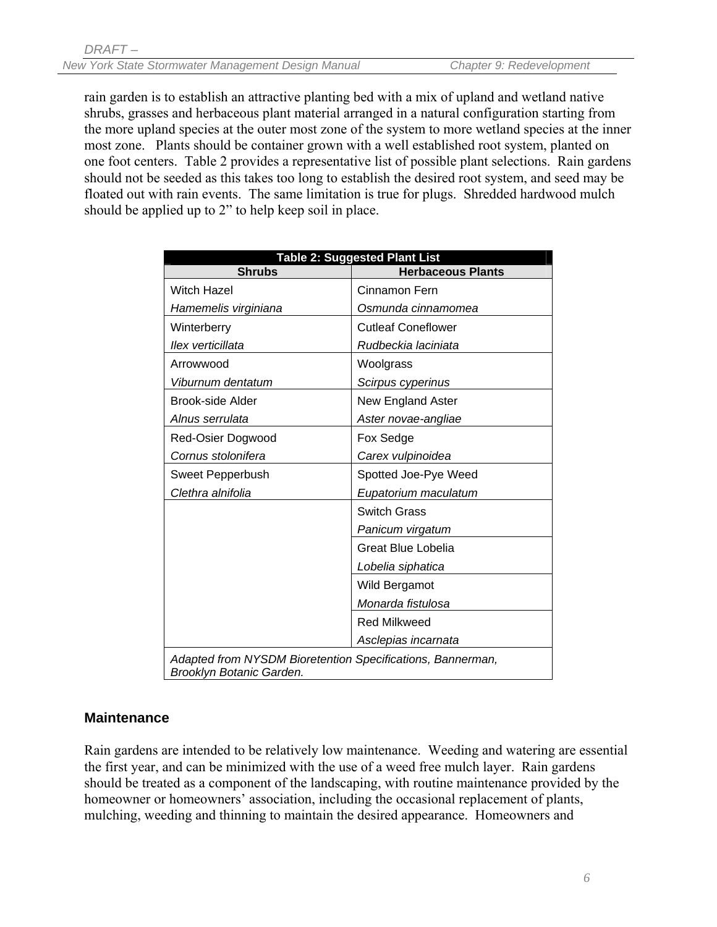rain garden is to establish an attractive planting bed with a mix of upland and wetland native shrubs, grasses and herbaceous plant material arranged in a natural configuration starting from the more upland species at the outer most zone of the system to more wetland species at the inner most zone. Plants should be container grown with a well established root system, planted on one foot centers. Table 2 provides a representative list of possible plant selections. Rain gardens should not be seeded as this takes too long to establish the desired root system, and seed may be floated out with rain events. The same limitation is true for plugs. Shredded hardwood mulch should be applied up to 2" to help keep soil in place.

| <b>Shrubs</b>                                                                          | <b>Table 2: Suggested Plant List</b><br><b>Herbaceous Plants</b> |
|----------------------------------------------------------------------------------------|------------------------------------------------------------------|
| <b>Witch Hazel</b>                                                                     | Cinnamon Fern                                                    |
| Hamemelis virginiana                                                                   | Osmunda cinnamomea                                               |
| Winterberry                                                                            | <b>Cutleaf Coneflower</b>                                        |
| llex verticillata                                                                      | Rudbeckia laciniata                                              |
| Arrowwood                                                                              | Woolgrass                                                        |
| Viburnum dentatum                                                                      | Scirpus cyperinus                                                |
| Brook-side Alder                                                                       | <b>New England Aster</b>                                         |
| Alnus serrulata                                                                        | Aster novae-angliae                                              |
| Red-Osier Dogwood                                                                      | Fox Sedge                                                        |
| Cornus stolonifera                                                                     | Carex vulpinoidea                                                |
| Sweet Pepperbush                                                                       | Spotted Joe-Pye Weed                                             |
| Clethra alnifolia                                                                      | Eupatorium maculatum                                             |
|                                                                                        | <b>Switch Grass</b>                                              |
|                                                                                        | Panicum virgatum                                                 |
|                                                                                        | <b>Great Blue Lobelia</b>                                        |
|                                                                                        | Lobelia siphatica                                                |
|                                                                                        | Wild Bergamot                                                    |
|                                                                                        | Monarda fistulosa                                                |
|                                                                                        | <b>Red Milkweed</b>                                              |
|                                                                                        | Asclepias incarnata                                              |
| Adapted from NYSDM Bioretention Specifications, Bannerman,<br>Brooklyn Botanic Garden. |                                                                  |

## **Maintenance**

Rain gardens are intended to be relatively low maintenance. Weeding and watering are essential the first year, and can be minimized with the use of a weed free mulch layer. Rain gardens should be treated as a component of the landscaping, with routine maintenance provided by the homeowner or homeowners' association, including the occasional replacement of plants, mulching, weeding and thinning to maintain the desired appearance. Homeowners and